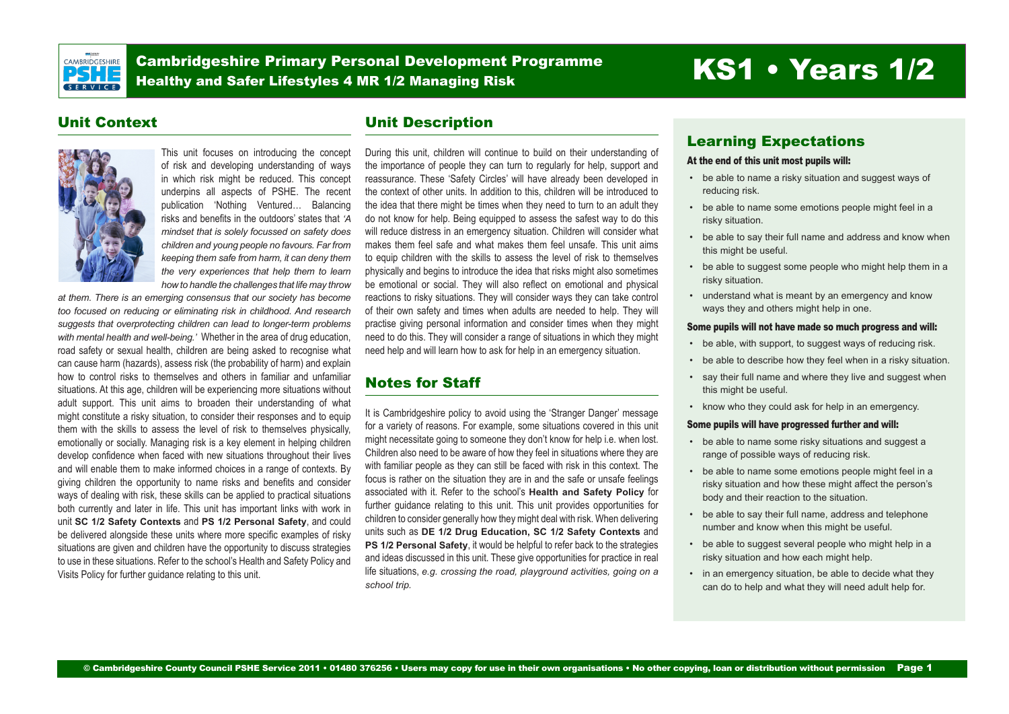

Cambridgeshire Primary Personal Development Programme Cambridgeshire Primary Personal Development Programme<br>Healthy and Safer Lifestyles 4 MR 1/2 Managing Risk **KS1 • Years 1/2** 

# Unit Context



This unit focuses on introducing the concept of risk and developing understanding of ways in which risk might be reduced. This concept underpins all aspects of PSHE. The recent publication 'Nothing Ventured… Balancing risks and benefits in the outdoors' states that *'A mindset that is solely focussed on safety does children and young people no favours. Far from keeping them safe from harm, it can deny them the very experiences that help them to learn how to handle the challenges that life may throw* 

*at them. There is an emerging consensus that our society has become too focused on reducing or eliminating risk in childhood. And research suggests that overprotecting children can lead to longer-term problems with mental health and well-being.'* Whether in the area of drug education, road safety or sexual health, children are being asked to recognise what can cause harm (hazards), assess risk (the probability of harm) and explain how to control risks to themselves and others in familiar and unfamiliar situations. At this age, children will be experiencing more situations without adult support. This unit aims to broaden their understanding of what might constitute a risky situation, to consider their responses and to equip them with the skills to assess the level of risk to themselves physically, emotionally or socially. Managing risk is a key element in helping children develop confidence when faced with new situations throughout their lives and will enable them to make informed choices in a range of contexts. By giving children the opportunity to name risks and benefits and consider ways of dealing with risk, these skills can be applied to practical situations both currently and later in life. This unit has important links with work in unit **SC 1/2 Safety Contexts** and **PS 1/2 Personal Safety**, and could be delivered alongside these units where more specific examples of risky situations are given and children have the opportunity to discuss strategies to use in these situations. Refer to the school's Health and Safety Policy and Visits Policy for further guidance relating to this unit.

# Unit Description

During this unit, children will continue to build on their understanding of the importance of people they can turn to regularly for help, support and reassurance. These 'Safety Circles' will have already been developed in the context of other units. In addition to this, children will be introduced to the idea that there might be times when they need to turn to an adult they do not know for help. Being equipped to assess the safest way to do this will reduce distress in an emergency situation. Children will consider what makes them feel safe and what makes them feel unsafe. This unit aims to equip children with the skills to assess the level of risk to themselves physically and begins to introduce the idea that risks might also sometimes be emotional or social. They will also reflect on emotional and physical reactions to risky situations. They will consider ways they can take control of their own safety and times when adults are needed to help. They will practise giving personal information and consider times when they might need to do this. They will consider a range of situations in which they might need help and will learn how to ask for help in an emergency situation.

# Notes for Staff

It is Cambridgeshire policy to avoid using the 'Stranger Danger' message for a variety of reasons. For example, some situations covered in this unit might necessitate going to someone they don't know for help i.e. when lost. Children also need to be aware of how they feel in situations where they are with familiar people as they can still be faced with risk in this context. The focus is rather on the situation they are in and the safe or unsafe feelings associated with it. Refer to the school's **Health and Safety Policy** for further guidance relating to this unit. This unit provides opportunities for children to consider generally how they might deal with risk. When delivering units such as **DE 1/2 Drug Education, SC 1/2 Safety Contexts** and **PS 1/2 Personal Safety**, it would be helpful to refer back to the strategies and ideas discussed in this unit. These give opportunities for practice in real life situations, *e.g. crossing the road, playground activities, going on a school trip.* 

# Learning Expectations

#### At the end of this unit most pupils will:

- be able to name a risky situation and suggest ways of reducing risk.
- be able to name some emotions people might feel in a risky situation.
- • be able to say their full name and address and know when this might be useful.
- be able to suggest some people who might help them in a risky situation.
- understand what is meant by an emergency and know ways they and others might help in one.

#### Some pupils will not have made so much progress and will:

- be able, with support, to suggest ways of reducing risk.
- be able to describe how they feel when in a risky situation.
- say their full name and where they live and suggest when this might be useful.
- • know who they could ask for help in an emergency.

#### Some pupils will have progressed further and will:

- be able to name some risky situations and suggest a range of possible ways of reducing risk.
- • be able to name some emotions people might feel in a risky situation and how these might affect the person's body and their reaction to the situation.
- • be able to say their full name, address and telephone number and know when this might be useful.
- be able to suggest several people who might help in a risky situation and how each might help.
- in an emergency situation, be able to decide what they can do to help and what they will need adult help for.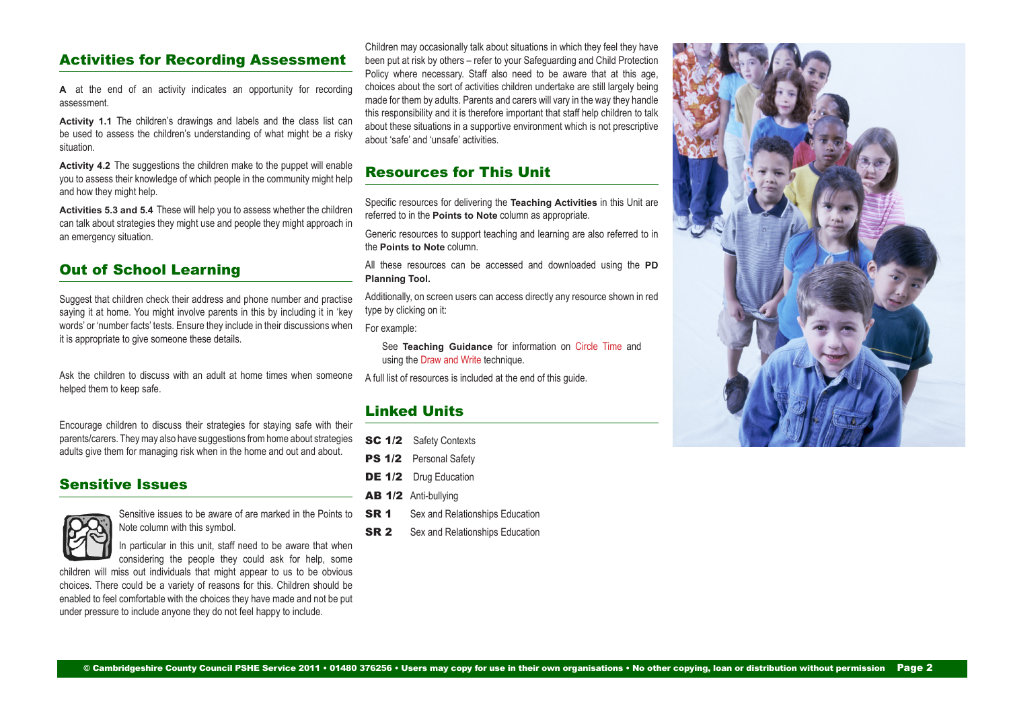# Activities for Recording Assessment

**A** at the end of an activity indicates an opportunity for recording assessment.

**Activity 1.1** The children's drawings and labels and the class list can be used to assess the children's understanding of what might be a risky situation.

**Activity 4.2** The suggestions the children make to the puppet will enable you to assess their knowledge of which people in the community might help and how they might help.

**Activities 5.3 and 5.4** These will help you to assess whether the children can talk about strategies they might use and people they might approach in an emergency situation.

# Out of School Learning

Suggest that children check their address and phone number and practise saying it at home. You might involve parents in this by including it in 'key words' or 'number facts' tests. Ensure they include in their discussions when it is appropriate to give someone these details.

Ask the children to discuss with an adult at home times when someone helped them to keep safe.

Encourage children to discuss their strategies for staying safe with their parents/carers. They may also have suggestions from home about strategies adults give them for managing risk when in the home and out and about.

#### Sensitive Issues



Sensitive issues to be aware of are marked in the Points to Note column with this symbol.

In particular in this unit, staff need to be aware that when considering the people they could ask for help, some

children will miss out individuals that might appear to us to be obvious choices. There could be a variety of reasons for this. Children should be enabled to feel comfortable with the choices they have made and not be put under pressure to include anyone they do not feel happy to include.

Children may occasionally talk about situations in which they feel they have been put at risk by others – refer to your Safeguarding and Child Protection Policy where necessary. Staff also need to be aware that at this age, choices about the sort of activities children undertake are still largely being made for them by adults. Parents and carers will vary in the way they handle this responsibility and it is therefore important that staff help children to talk about these situations in a supportive environment which is not prescriptive about 'safe' and 'unsafe' activities.

# Resources for This Unit

Specific resources for delivering the **Teaching Activities** in this Unit are referred to in the **Points to Note** column as appropriate.

Generic resources to support teaching and learning are also referred to in the **Points to Note** column.

All these resources can be accessed and downloaded using the **PD Planning Tool.**

Additionally, on screen users can access directly any resource shown in red type by clicking on it:

For example:

See **Teaching Guidance** for information on Circle Time and using the Draw and Write technique.

A full list of resources is included at the end of this guide.

# Linked Units

- SC 1/2 Safety Contexts
- PS 1/2 Personal Safety
- DE 1/2 Drug Education
- AB 1/2 Anti-bullying
- **SR 1** Sex and Relationships Education
- **SR 2** Sex and Relationships Education

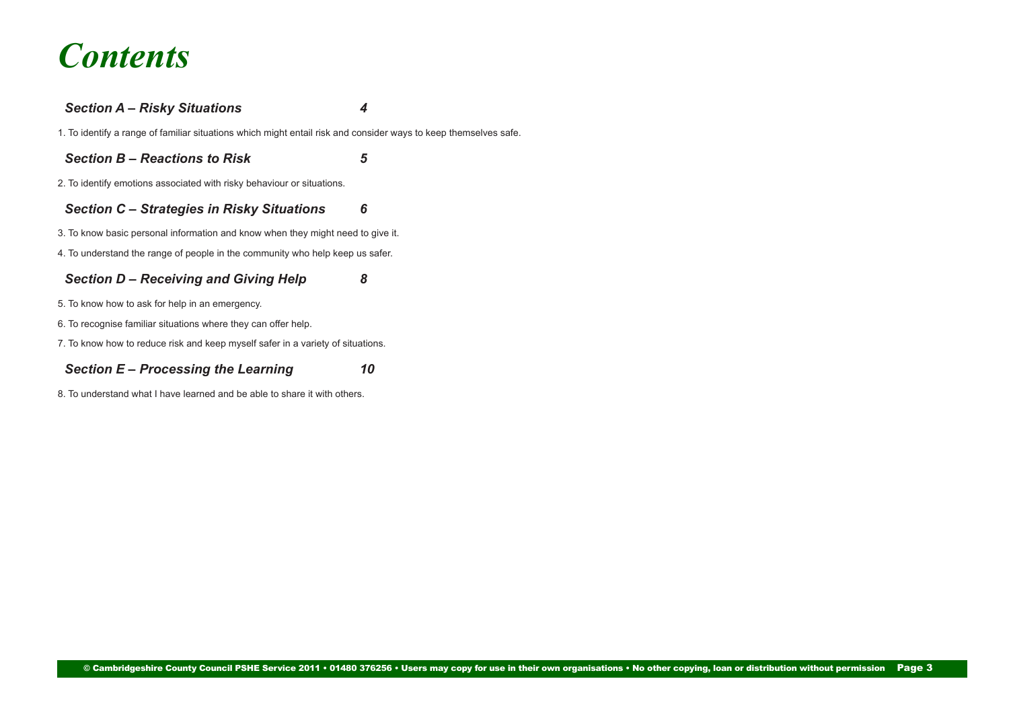# *Contents*

### *[Section A – Risky Situations 4](#page-3-0)*

[1. To identify a range of familiar situations which might entail risk and consider ways to keep themselves safe.](#page-3-0)

*[Section B – Reactions to Risk 5](#page-4-0)*

[2. To identify emotions associated with risky behaviour or situations.](#page-4-0)

#### *[Section C – Strategies in Risky Situations](#page-5-0) 6*

[3. To know basic personal information and know when they might need to give it.](#page-5-0)

[4. To understand the range of people in the community who help keep us safer.](#page-5-0)

### *[Section D – Receiving and Giving Help 8](#page-7-0)*

- [5. To know how to ask for help in an emergency.](#page-7-0)
- [6. To recognise familiar situations where they can offer help.](#page-8-0)
- [7. To know how to reduce risk and keep myself safer in a variety of situations.](#page-8-0)

# *[Section E – Processing the Learning 10](#page-9-0)*

[8. To understand what I have learned and be able to share it with others.](#page-9-0)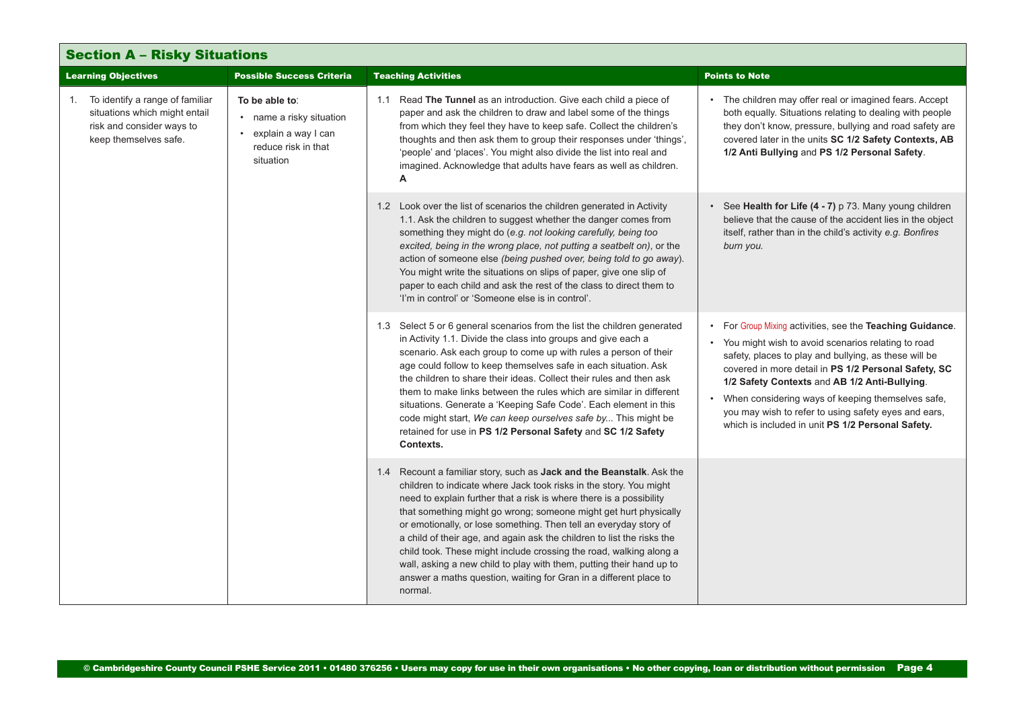<span id="page-3-0"></span>

| <b>Section A - Risky Situations</b>                            |                                                                                                                           |                                                                                                         |                                                                                                                                                                                                                                                                                                                                                                                                                                                                                                                                                                                                                                                                     |                                                                                                                                                                                                                                                                                                                                                                                                                                                       |
|----------------------------------------------------------------|---------------------------------------------------------------------------------------------------------------------------|---------------------------------------------------------------------------------------------------------|---------------------------------------------------------------------------------------------------------------------------------------------------------------------------------------------------------------------------------------------------------------------------------------------------------------------------------------------------------------------------------------------------------------------------------------------------------------------------------------------------------------------------------------------------------------------------------------------------------------------------------------------------------------------|-------------------------------------------------------------------------------------------------------------------------------------------------------------------------------------------------------------------------------------------------------------------------------------------------------------------------------------------------------------------------------------------------------------------------------------------------------|
| <b>Possible Success Criteria</b><br><b>Learning Objectives</b> |                                                                                                                           |                                                                                                         | <b>Teaching Activities</b>                                                                                                                                                                                                                                                                                                                                                                                                                                                                                                                                                                                                                                          | <b>Points to Note</b>                                                                                                                                                                                                                                                                                                                                                                                                                                 |
|                                                                | 1. To identify a range of familiar<br>situations which might entail<br>risk and consider ways to<br>keep themselves safe. | To be able to:<br>• name a risky situation<br>• explain a way I can<br>reduce risk in that<br>situation | 1.1 Read The Tunnel as an introduction. Give each child a piece of<br>paper and ask the children to draw and label some of the things<br>from which they feel they have to keep safe. Collect the children's<br>thoughts and then ask them to group their responses under 'things',<br>'people' and 'places'. You might also divide the list into real and<br>imagined. Acknowledge that adults have fears as well as children.<br>Α                                                                                                                                                                                                                                | • The children may offer real or imagined fears. Accept<br>both equally. Situations relating to dealing with people<br>they don't know, pressure, bullying and road safety are<br>covered later in the units SC 1/2 Safety Contexts, AB<br>1/2 Anti Bullying and PS 1/2 Personal Safety.                                                                                                                                                              |
|                                                                |                                                                                                                           |                                                                                                         | 1.2 Look over the list of scenarios the children generated in Activity<br>1.1. Ask the children to suggest whether the danger comes from<br>something they might do (e.g. not looking carefully, being too<br>excited, being in the wrong place, not putting a seatbelt on), or the<br>action of someone else (being pushed over, being told to go away).<br>You might write the situations on slips of paper, give one slip of<br>paper to each child and ask the rest of the class to direct them to<br>'I'm in control' or 'Someone else is in control'.                                                                                                         | • See Health for Life (4 - 7) p 73. Many young children<br>believe that the cause of the accident lies in the object<br>itself, rather than in the child's activity e.g. Bonfires<br>burn you.                                                                                                                                                                                                                                                        |
|                                                                |                                                                                                                           |                                                                                                         | 1.3 Select 5 or 6 general scenarios from the list the children generated<br>in Activity 1.1. Divide the class into groups and give each a<br>scenario. Ask each group to come up with rules a person of their<br>age could follow to keep themselves safe in each situation. Ask<br>the children to share their ideas. Collect their rules and then ask<br>them to make links between the rules which are similar in different<br>situations. Generate a 'Keeping Safe Code'. Each element in this<br>code might start, We can keep ourselves safe by This might be<br>retained for use in PS 1/2 Personal Safety and SC 1/2 Safety<br>Contexts.                    | • For Group Mixing activities, see the Teaching Guidance.<br>• You might wish to avoid scenarios relating to road<br>safety, places to play and bullying, as these will be<br>covered in more detail in PS 1/2 Personal Safety, SC<br>1/2 Safety Contexts and AB 1/2 Anti-Bullying.<br>When considering ways of keeping themselves safe,<br>you may wish to refer to using safety eyes and ears,<br>which is included in unit PS 1/2 Personal Safety. |
|                                                                |                                                                                                                           |                                                                                                         | 1.4 Recount a familiar story, such as Jack and the Beanstalk. Ask the<br>children to indicate where Jack took risks in the story. You might<br>need to explain further that a risk is where there is a possibility<br>that something might go wrong; someone might get hurt physically<br>or emotionally, or lose something. Then tell an everyday story of<br>a child of their age, and again ask the children to list the risks the<br>child took. These might include crossing the road, walking along a<br>wall, asking a new child to play with them, putting their hand up to<br>answer a maths question, waiting for Gran in a different place to<br>normal. |                                                                                                                                                                                                                                                                                                                                                                                                                                                       |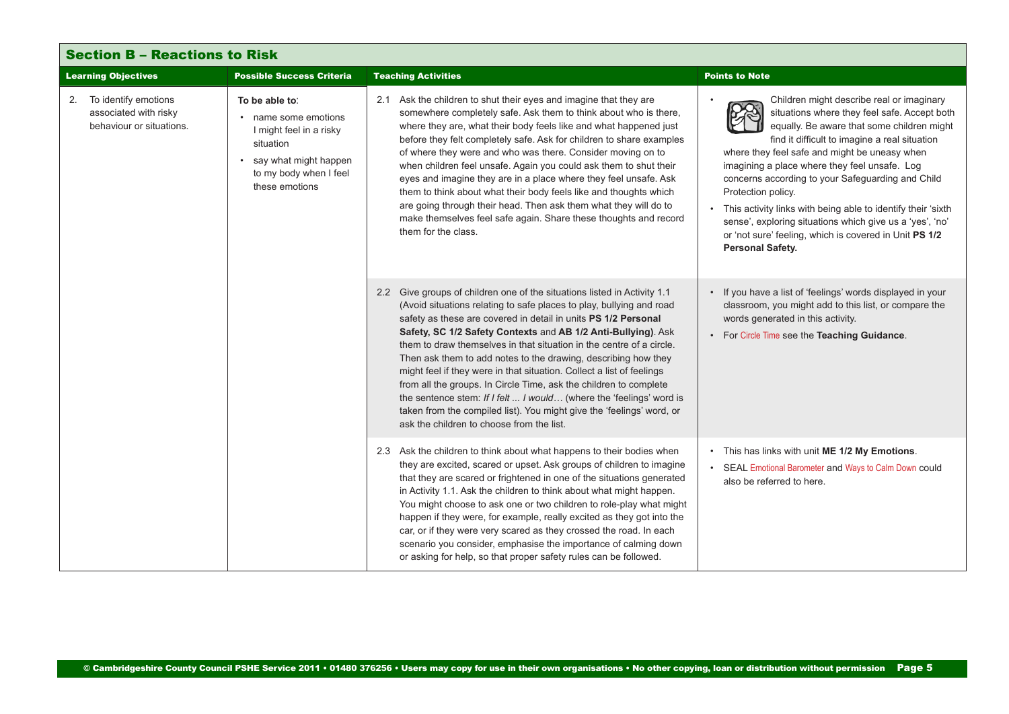<span id="page-4-0"></span>

| <b>Section B - Reactions to Risk</b>                                            |                                                                                                                                                       |                                                                                                                                                                                                                                                                                                                                                                                                                                                                                                                                                                                                                                                                                                                                                                          |                                                                                                                                                                                                                                                                                                                                                                                                                                                                                                                                                                                        |  |
|---------------------------------------------------------------------------------|-------------------------------------------------------------------------------------------------------------------------------------------------------|--------------------------------------------------------------------------------------------------------------------------------------------------------------------------------------------------------------------------------------------------------------------------------------------------------------------------------------------------------------------------------------------------------------------------------------------------------------------------------------------------------------------------------------------------------------------------------------------------------------------------------------------------------------------------------------------------------------------------------------------------------------------------|----------------------------------------------------------------------------------------------------------------------------------------------------------------------------------------------------------------------------------------------------------------------------------------------------------------------------------------------------------------------------------------------------------------------------------------------------------------------------------------------------------------------------------------------------------------------------------------|--|
| <b>Learning Objectives</b>                                                      | <b>Possible Success Criteria</b>                                                                                                                      | <b>Teaching Activities</b>                                                                                                                                                                                                                                                                                                                                                                                                                                                                                                                                                                                                                                                                                                                                               | <b>Points to Note</b>                                                                                                                                                                                                                                                                                                                                                                                                                                                                                                                                                                  |  |
| To identify emotions<br>2.<br>associated with risky<br>behaviour or situations. | To be able to:<br>• name some emotions<br>I might feel in a risky<br>situation<br>• say what might happen<br>to my body when I feel<br>these emotions | 2.1 Ask the children to shut their eyes and imagine that they are<br>somewhere completely safe. Ask them to think about who is there,<br>where they are, what their body feels like and what happened just<br>before they felt completely safe. Ask for children to share examples<br>of where they were and who was there. Consider moving on to<br>when children feel unsafe. Again you could ask them to shut their<br>eyes and imagine they are in a place where they feel unsafe. Ask<br>them to think about what their body feels like and thoughts which<br>are going through their head. Then ask them what they will do to<br>make themselves feel safe again. Share these thoughts and record<br>them for the class.                                           | Children might describe real or imaginary<br>situations where they feel safe. Accept both<br>equally. Be aware that some children might<br>find it difficult to imagine a real situation<br>where they feel safe and might be uneasy when<br>imagining a place where they feel unsafe. Log<br>concerns according to your Safeguarding and Child<br>Protection policy.<br>This activity links with being able to identify their 'sixth<br>sense', exploring situations which give us a 'yes', 'no'<br>or 'not sure' feeling, which is covered in Unit PS 1/2<br><b>Personal Safety.</b> |  |
|                                                                                 |                                                                                                                                                       | 2.2 Give groups of children one of the situations listed in Activity 1.1<br>(Avoid situations relating to safe places to play, bullying and road<br>safety as these are covered in detail in units PS 1/2 Personal<br>Safety, SC 1/2 Safety Contexts and AB 1/2 Anti-Bullying). Ask<br>them to draw themselves in that situation in the centre of a circle.<br>Then ask them to add notes to the drawing, describing how they<br>might feel if they were in that situation. Collect a list of feelings<br>from all the groups. In Circle Time, ask the children to complete<br>the sentence stem: If I felt  I would (where the 'feelings' word is<br>taken from the compiled list). You might give the 'feelings' word, or<br>ask the children to choose from the list. | If you have a list of 'feelings' words displayed in your<br>classroom, you might add to this list, or compare the<br>words generated in this activity.<br>For Circle Time see the Teaching Guidance.                                                                                                                                                                                                                                                                                                                                                                                   |  |
|                                                                                 |                                                                                                                                                       | 2.3 Ask the children to think about what happens to their bodies when<br>they are excited, scared or upset. Ask groups of children to imagine<br>that they are scared or frightened in one of the situations generated<br>in Activity 1.1. Ask the children to think about what might happen.<br>You might choose to ask one or two children to role-play what might<br>happen if they were, for example, really excited as they got into the<br>car, or if they were very scared as they crossed the road. In each<br>scenario you consider, emphasise the importance of calming down<br>or asking for help, so that proper safety rules can be followed.                                                                                                               | This has links with unit ME 1/2 My Emotions.<br>SEAL Emotional Barometer and Ways to Calm Down could<br>also be referred to here.                                                                                                                                                                                                                                                                                                                                                                                                                                                      |  |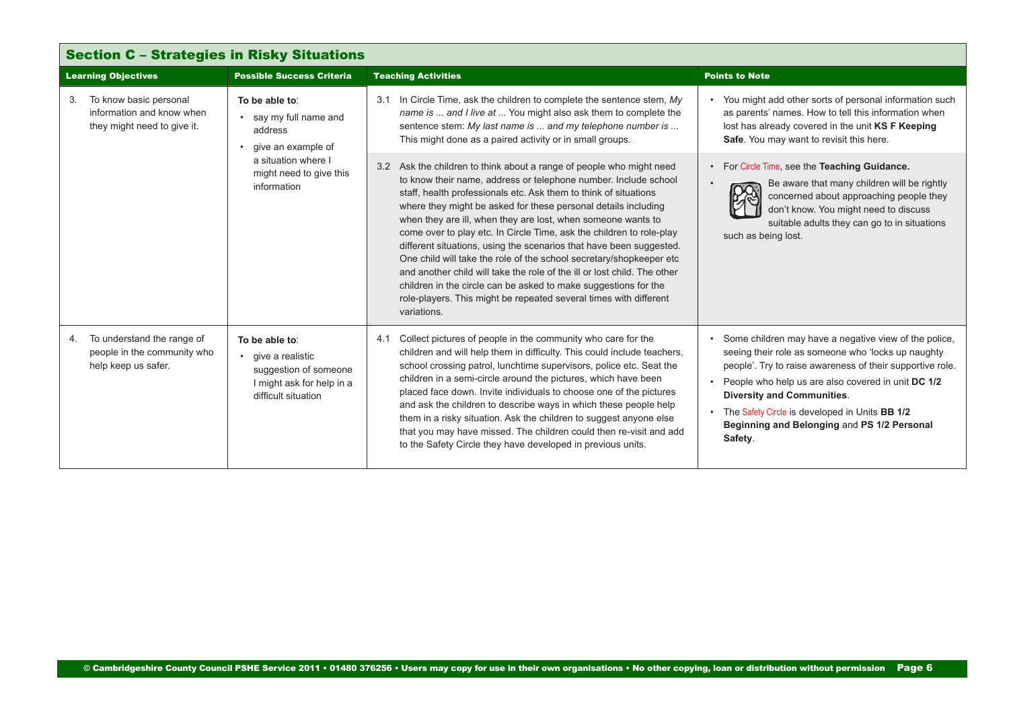<span id="page-5-0"></span>

| <b>Section C - Strategies in Risky Situations</b>                                        |                                                                                                                                            |                                                                                                                                                                                                                                                                                                                                                                                                                                                                                                                                                                                                                                                                                                                                                                                                        |                                                                                                                                                                                                                                                                                                                                                                                   |  |
|------------------------------------------------------------------------------------------|--------------------------------------------------------------------------------------------------------------------------------------------|--------------------------------------------------------------------------------------------------------------------------------------------------------------------------------------------------------------------------------------------------------------------------------------------------------------------------------------------------------------------------------------------------------------------------------------------------------------------------------------------------------------------------------------------------------------------------------------------------------------------------------------------------------------------------------------------------------------------------------------------------------------------------------------------------------|-----------------------------------------------------------------------------------------------------------------------------------------------------------------------------------------------------------------------------------------------------------------------------------------------------------------------------------------------------------------------------------|--|
| <b>Learning Objectives</b>                                                               | <b>Possible Success Criteria</b>                                                                                                           | <b>Teaching Activities</b>                                                                                                                                                                                                                                                                                                                                                                                                                                                                                                                                                                                                                                                                                                                                                                             | <b>Points to Note</b>                                                                                                                                                                                                                                                                                                                                                             |  |
| To know basic personal<br>3.<br>information and know when<br>they might need to give it. | To be able to:<br>• say my full name and<br>address<br>give an example of<br>a situation where I<br>might need to give this<br>information | 3.1 In Circle Time, ask the children to complete the sentence stem, My<br>name is  and I live at  You might also ask them to complete the<br>sentence stem: My last name is  and my telephone number is<br>This might done as a paired activity or in small groups.                                                                                                                                                                                                                                                                                                                                                                                                                                                                                                                                    | • You might add other sorts of personal information such<br>as parents' names. How to tell this information when<br>lost has already covered in the unit KS F Keeping<br>Safe. You may want to revisit this here.                                                                                                                                                                 |  |
|                                                                                          |                                                                                                                                            | 3.2 Ask the children to think about a range of people who might need<br>to know their name, address or telephone number. Include school<br>staff, health professionals etc. Ask them to think of situations<br>where they might be asked for these personal details including<br>when they are ill, when they are lost, when someone wants to<br>come over to play etc. In Circle Time, ask the children to role-play<br>different situations, using the scenarios that have been suggested.<br>One child will take the role of the school secretary/shopkeeper etc<br>and another child will take the role of the ill or lost child. The other<br>children in the circle can be asked to make suggestions for the<br>role-players. This might be repeated several times with different<br>variations. | • For Circle Time, see the Teaching Guidance.<br>Be aware that many children will be rightly<br>concerned about approaching people they<br>don't know. You might need to discuss<br>suitable adults they can go to in situations<br>such as being lost.                                                                                                                           |  |
| To understand the range of<br>4.<br>people in the community who<br>help keep us safer.   | To be able to:<br>• qive a realistic<br>suggestion of someone<br>I might ask for help in a<br>difficult situation                          | Collect pictures of people in the community who care for the<br>4.1<br>children and will help them in difficulty. This could include teachers,<br>school crossing patrol, lunchtime supervisors, police etc. Seat the<br>children in a semi-circle around the pictures, which have been<br>placed face down. Invite individuals to choose one of the pictures<br>and ask the children to describe ways in which these people help<br>them in a risky situation. Ask the children to suggest anyone else<br>that you may have missed. The children could then re-visit and add<br>to the Safety Circle they have developed in previous units.                                                                                                                                                           | • Some children may have a negative view of the police,<br>seeing their role as someone who 'locks up naughty<br>people'. Try to raise awareness of their supportive role.<br>People who help us are also covered in unit DC 1/2<br><b>Diversity and Communities.</b><br>The Safety Circle is developed in Units BB 1/2<br>Beginning and Belonging and PS 1/2 Personal<br>Safety. |  |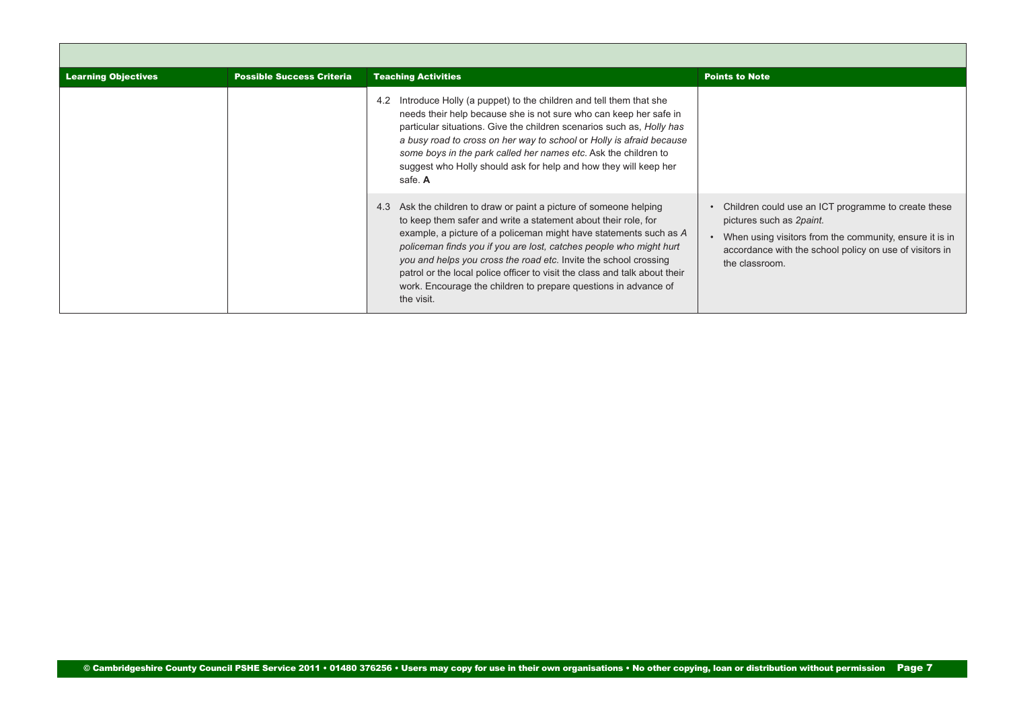| <b>Learning Objectives</b> | <b>Possible Success Criteria</b> | <b>Teaching Activities</b>                                                                                                                                                                                                                                                                                                                                                                                                                                                                                            | <b>Points to Note</b>                                                                                                                                                                                                   |
|----------------------------|----------------------------------|-----------------------------------------------------------------------------------------------------------------------------------------------------------------------------------------------------------------------------------------------------------------------------------------------------------------------------------------------------------------------------------------------------------------------------------------------------------------------------------------------------------------------|-------------------------------------------------------------------------------------------------------------------------------------------------------------------------------------------------------------------------|
|                            |                                  | Introduce Holly (a puppet) to the children and tell them that she<br>4.2<br>needs their help because she is not sure who can keep her safe in<br>particular situations. Give the children scenarios such as, Holly has<br>a busy road to cross on her way to school or Holly is afraid because<br>some boys in the park called her names etc. Ask the children to<br>suggest who Holly should ask for help and how they will keep her<br>safe. A                                                                      |                                                                                                                                                                                                                         |
|                            |                                  | Ask the children to draw or paint a picture of someone helping<br>4.3<br>to keep them safer and write a statement about their role, for<br>example, a picture of a policeman might have statements such as A<br>policeman finds you if you are lost, catches people who might hurt<br>you and helps you cross the road etc. Invite the school crossing<br>patrol or the local police officer to visit the class and talk about their<br>work. Encourage the children to prepare questions in advance of<br>the visit. | Children could use an ICT programme to create these<br>pictures such as 2paint.<br>When using visitors from the community, ensure it is in<br>accordance with the school policy on use of visitors in<br>the classroom. |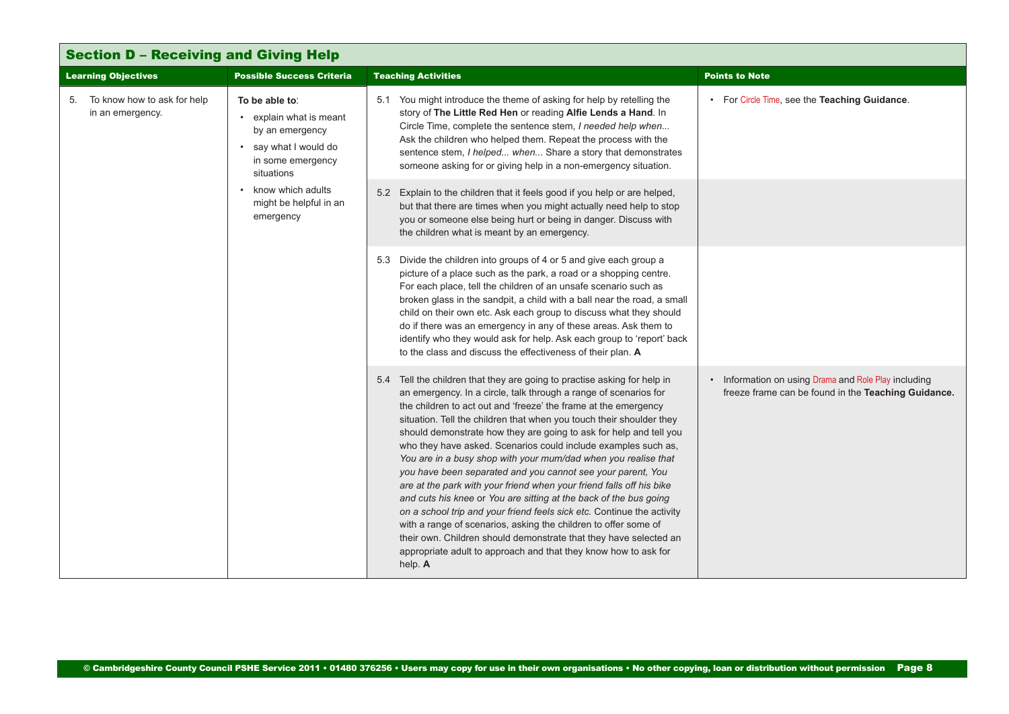<span id="page-7-0"></span>

| <b>Section D - Receiving and Giving Help</b>                   |                                                                                                                                                                                        |                                                                                                                                                                                                                                                                                                                                                                                                                                                                                                                                                                                                                                                                                                                                                                                                                                                                                                                                                                                                               |                                                                                                           |  |
|----------------------------------------------------------------|----------------------------------------------------------------------------------------------------------------------------------------------------------------------------------------|---------------------------------------------------------------------------------------------------------------------------------------------------------------------------------------------------------------------------------------------------------------------------------------------------------------------------------------------------------------------------------------------------------------------------------------------------------------------------------------------------------------------------------------------------------------------------------------------------------------------------------------------------------------------------------------------------------------------------------------------------------------------------------------------------------------------------------------------------------------------------------------------------------------------------------------------------------------------------------------------------------------|-----------------------------------------------------------------------------------------------------------|--|
| <b>Learning Objectives</b><br><b>Possible Success Criteria</b> |                                                                                                                                                                                        | <b>Teaching Activities</b>                                                                                                                                                                                                                                                                                                                                                                                                                                                                                                                                                                                                                                                                                                                                                                                                                                                                                                                                                                                    | <b>Points to Note</b>                                                                                     |  |
| 5. To know how to ask for help<br>in an emergency.             | To be able to:<br>• explain what is meant<br>by an emergency<br>• say what I would do<br>in some emergency<br>situations<br>• know which adults<br>might be helpful in an<br>emergency | 5.1 You might introduce the theme of asking for help by retelling the<br>story of The Little Red Hen or reading Alfie Lends a Hand. In<br>Circle Time, complete the sentence stem, I needed help when<br>Ask the children who helped them. Repeat the process with the<br>sentence stem, I helped when Share a story that demonstrates<br>someone asking for or giving help in a non-emergency situation.                                                                                                                                                                                                                                                                                                                                                                                                                                                                                                                                                                                                     | • For Circle Time, see the Teaching Guidance.                                                             |  |
|                                                                |                                                                                                                                                                                        | 5.2 Explain to the children that it feels good if you help or are helped,<br>but that there are times when you might actually need help to stop<br>you or someone else being hurt or being in danger. Discuss with<br>the children what is meant by an emergency.                                                                                                                                                                                                                                                                                                                                                                                                                                                                                                                                                                                                                                                                                                                                             |                                                                                                           |  |
|                                                                |                                                                                                                                                                                        | 5.3 Divide the children into groups of 4 or 5 and give each group a<br>picture of a place such as the park, a road or a shopping centre.<br>For each place, tell the children of an unsafe scenario such as<br>broken glass in the sandpit, a child with a ball near the road, a small<br>child on their own etc. Ask each group to discuss what they should<br>do if there was an emergency in any of these areas. Ask them to<br>identify who they would ask for help. Ask each group to 'report' back<br>to the class and discuss the effectiveness of their plan. A                                                                                                                                                                                                                                                                                                                                                                                                                                       |                                                                                                           |  |
|                                                                |                                                                                                                                                                                        | 5.4 Tell the children that they are going to practise asking for help in<br>an emergency. In a circle, talk through a range of scenarios for<br>the children to act out and 'freeze' the frame at the emergency<br>situation. Tell the children that when you touch their shoulder they<br>should demonstrate how they are going to ask for help and tell you<br>who they have asked. Scenarios could include examples such as,<br>You are in a busy shop with your mum/dad when you realise that<br>you have been separated and you cannot see your parent, You<br>are at the park with your friend when your friend falls off his bike<br>and cuts his knee or You are sitting at the back of the bus going<br>on a school trip and your friend feels sick etc. Continue the activity<br>with a range of scenarios, asking the children to offer some of<br>their own. Children should demonstrate that they have selected an<br>appropriate adult to approach and that they know how to ask for<br>help. A | Information on using Drama and Role Play including<br>freeze frame can be found in the Teaching Guidance. |  |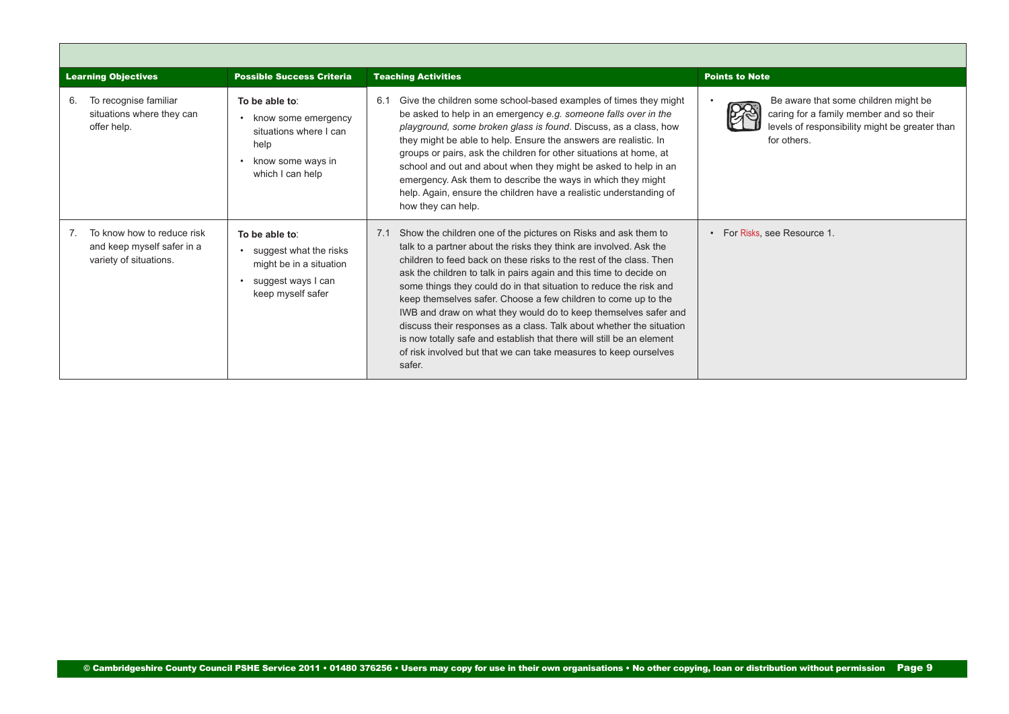<span id="page-8-0"></span>

| <b>Learning Objectives</b>                                                         | <b>Possible Success Criteria</b>                                                                                                | <b>Teaching Activities</b>                                                                                                                                                                                                                                                                                                                                                                                                                                                                                                                                                                                                                                                                                                         | <b>Points to Note</b>                                                                                                                            |
|------------------------------------------------------------------------------------|---------------------------------------------------------------------------------------------------------------------------------|------------------------------------------------------------------------------------------------------------------------------------------------------------------------------------------------------------------------------------------------------------------------------------------------------------------------------------------------------------------------------------------------------------------------------------------------------------------------------------------------------------------------------------------------------------------------------------------------------------------------------------------------------------------------------------------------------------------------------------|--------------------------------------------------------------------------------------------------------------------------------------------------|
| To recognise familiar<br>6.<br>situations where they can<br>offer help.            | To be able to:<br>• know some emergency<br>situations where I can<br>help<br>know some ways in<br>$\bullet$<br>which I can help | Give the children some school-based examples of times they might<br>6.1<br>be asked to help in an emergency e.g. someone falls over in the<br>playground, some broken glass is found. Discuss, as a class, how<br>they might be able to help. Ensure the answers are realistic. In<br>groups or pairs, ask the children for other situations at home, at<br>school and out and about when they might be asked to help in an<br>emergency. Ask them to describe the ways in which they might<br>help. Again, ensure the children have a realistic understanding of<br>how they can help.                                                                                                                                            | Be aware that some children might be<br>caring for a family member and so their<br>levels of responsibility might be greater than<br>for others. |
| To know how to reduce risk<br>and keep myself safer in a<br>variety of situations. | To be able to:<br>suggest what the risks<br>might be in a situation<br>suggest ways I can<br>keep myself safer                  | Show the children one of the pictures on Risks and ask them to<br>7.1<br>talk to a partner about the risks they think are involved. Ask the<br>children to feed back on these risks to the rest of the class. Then<br>ask the children to talk in pairs again and this time to decide on<br>some things they could do in that situation to reduce the risk and<br>keep themselves safer. Choose a few children to come up to the<br>IWB and draw on what they would do to keep themselves safer and<br>discuss their responses as a class. Talk about whether the situation<br>is now totally safe and establish that there will still be an element<br>of risk involved but that we can take measures to keep ourselves<br>safer. | • For Risks, see Resource 1.                                                                                                                     |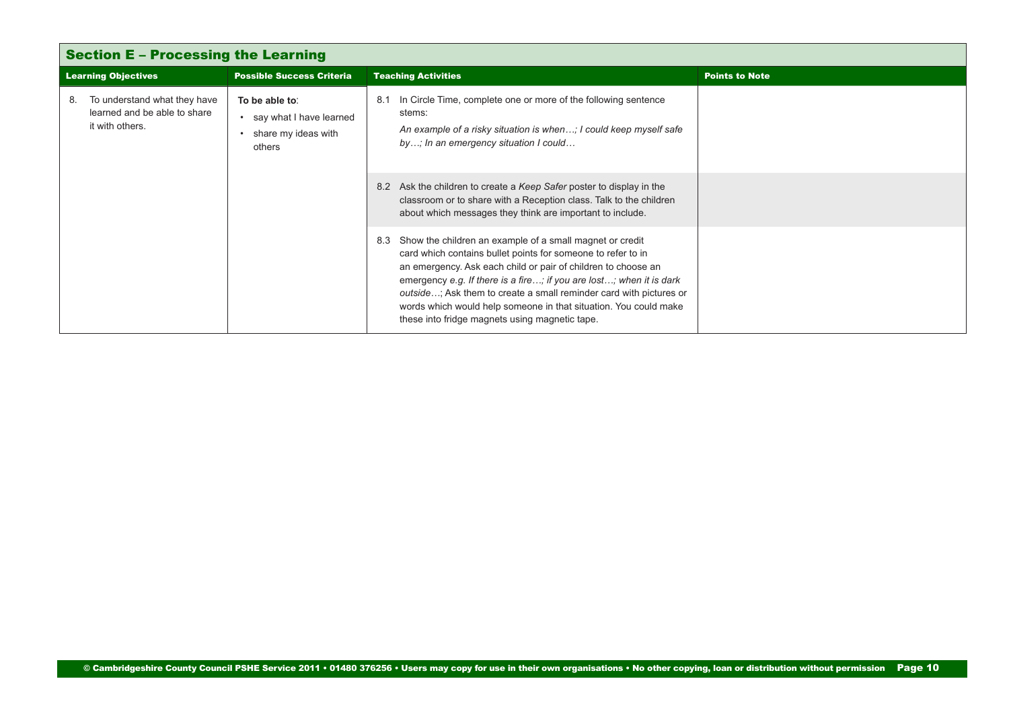<span id="page-9-0"></span>

| <b>Section E - Processing the Learning</b> |                                                                                 |                                                                              |                                                                                                                                                                                                                                                                                                                                                                                                                                                                     |                       |
|--------------------------------------------|---------------------------------------------------------------------------------|------------------------------------------------------------------------------|---------------------------------------------------------------------------------------------------------------------------------------------------------------------------------------------------------------------------------------------------------------------------------------------------------------------------------------------------------------------------------------------------------------------------------------------------------------------|-----------------------|
| <b>Learning Objectives</b>                 |                                                                                 | <b>Possible Success Criteria</b>                                             | <b>Teaching Activities</b>                                                                                                                                                                                                                                                                                                                                                                                                                                          | <b>Points to Note</b> |
| 8.                                         | To understand what they have<br>learned and be able to share<br>it with others. | To be able to:<br>• say what I have learned<br>share my ideas with<br>others | In Circle Time, complete one or more of the following sentence<br>8.1<br>stems:<br>An example of a risky situation is when; I could keep myself safe<br>by; In an emergency situation I could                                                                                                                                                                                                                                                                       |                       |
|                                            |                                                                                 |                                                                              | 8.2 Ask the children to create a Keep Safer poster to display in the<br>classroom or to share with a Reception class. Talk to the children<br>about which messages they think are important to include.                                                                                                                                                                                                                                                             |                       |
|                                            |                                                                                 |                                                                              | Show the children an example of a small magnet or credit<br>8.3<br>card which contains bullet points for someone to refer to in<br>an emergency. Ask each child or pair of children to choose an<br>emergency e.g. If there is a fire; if you are lost; when it is dark<br>outside; Ask them to create a small reminder card with pictures or<br>words which would help someone in that situation. You could make<br>these into fridge magnets using magnetic tape. |                       |